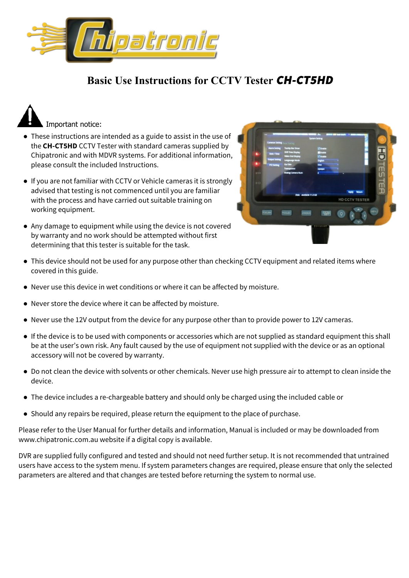

## **Basic Use Instructions for CCTV Tester CH-CT5HD**



- These instructions are intended as a guide to assist in the use of the **CH-CT5HD** CCTV Tester with standard cameras supplied by Chipatronic and with MDVR systems. For additional information, please consult the included Instructions.
- If you are not familiar with CCTV or Vehicle cameras it is strongly advised that testing is not commenced until you are familiar with the process and have carried out suitable training on working equipment.
- Any damage to equipment while using the device is not covered by warranty and no work should be attempted without first determining that this tester is suitable for the task.

| $\sim$                |                                                     |                                   |                |                 |
|-----------------------|-----------------------------------------------------|-----------------------------------|----------------|-----------------|
| Common Setting        | <b>CONTRACTOR</b>                                   | Symon Setting                     |                |                 |
|                       | <b>Alarm Setting Toolto Bar Show</b>                | <b>El Cratie</b>                  |                |                 |
| <b>Dear Fire</b>      | <b>OVA Time Display</b><br><b>Video Ond Display</b> | <b>Millenge</b><br><b>Plinate</b> |                |                 |
| <b>Custod Setting</b> | <b>Language Mode</b>                                | <b>Expirit</b>                    |                |                 |
| <b>Pittsma</b>        | <b>Gui Stir</b><br>Transparent                      | blue<br><b>ODAGER</b>             |                |                 |
| <b>WITH</b>           | Analog Camera Hum                                   |                                   |                |                 |
|                       |                                                     |                                   |                |                 |
| 8-0                   |                                                     |                                   |                | <b>HDTESTER</b> |
|                       | Disk: welldow 11.0 SB                               |                                   |                |                 |
|                       |                                                     |                                   | HD CCTV TESTER |                 |
|                       |                                                     |                                   |                |                 |
| <b>FOCUSH</b>         | <b>POCUS-</b><br>ZDCR/H                             | 图片                                | $\circ$        | <b>Kera</b>     |
|                       |                                                     |                                   | ٠              |                 |
|                       |                                                     |                                   |                |                 |
|                       |                                                     |                                   |                |                 |
|                       |                                                     |                                   |                |                 |
|                       |                                                     |                                   |                |                 |

- This device should not be used for any purpose other than checking CCTV equipment and related items where covered in this guide.
- Never use this device in wet conditions or where it can be affected by moisture.
- Never store the device where it can be affected by moisture.
- Never use the 12V output from the device for any purpose other than to provide power to 12V cameras.
- If the device is to be used with components or accessories which are not supplied as standard equipment this shall be at the user's own risk. Any fault caused by the use of equipment not supplied with the device or as an optional accessory will not be covered by warranty.
- Do not clean the device with solvents or other chemicals. Never use high pressure air to attempt to clean inside the device.
- The device includes a re-chargeable battery and should only be charged using the included cable or
- Should any repairs be required, please return the equipment to the place of purchase.

Please refer to the User Manual for further details and information, Manual is included or may be downloaded from www.chipatronic.com.au website if a digital copy is available.

DVR are supplied fully configured and tested and should not need further setup. It is not recommended that untrained users have access to the system menu. If system parameters changes are required, please ensure that only the selected parameters are altered and that changes are tested before returning the system to normal use.